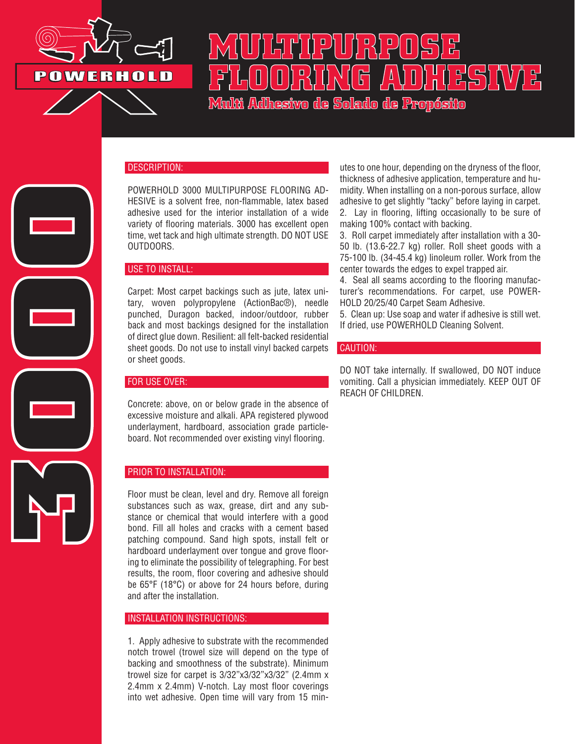

# **MULTIPURPOSE FLOORING ADHESIVE Multi Adhesivo de Solado de Propósito**

### DESCRIPTION:

POWERHOLD 3000 MULTIPURPOSE FLOORING AD-HESIVE is a solvent free, non-flammable, latex based adhesive used for the interior installation of a wide variety of flooring materials. 3000 has excellent open time, wet tack and high ultimate strength. DO NOT USE OUTDOORS.

### USE TO INSTALL:

Carpet: Most carpet backings such as jute, latex unitary, woven polypropylene (ActionBac®), needle punched, Duragon backed, indoor/outdoor, rubber back and most backings designed for the installation of direct glue down. Resilient: all felt-backed residential sheet goods. Do not use to install vinyl backed carpets or sheet goods.

### FOR USE OVER:

**3000**

Concrete: above, on or below grade in the absence of excessive moisture and alkali. APA registered plywood underlayment, hardboard, association grade particleboard. Not recommended over existing vinyl flooring.

### PRIOR TO INSTALLATION:

Floor must be clean, level and dry. Remove all foreign substances such as wax, grease, dirt and any substance or chemical that would interfere with a good bond. Fill all holes and cracks with a cement based patching compound. Sand high spots, install felt or hardboard underlayment over tongue and grove flooring to eliminate the possibility of telegraphing. For best results, the room, floor covering and adhesive should be 65°F (18°C) or above for 24 hours before, during and after the installation.

### INSTALLATION INSTRUCTIONS:

1. Apply adhesive to substrate with the recommended notch trowel (trowel size will depend on the type of backing and smoothness of the substrate). Minimum trowel size for carpet is 3/32"x3/32"x3/32" (2.4mm x 2.4mm x 2.4mm) V-notch. Lay most floor coverings into wet adhesive. Open time will vary from 15 min-

utes to one hour, depending on the dryness of the floor, thickness of adhesive application, temperature and humidity. When installing on a non-porous surface, allow adhesive to get slightly "tacky" before laying in carpet. 2. Lay in flooring, lifting occasionally to be sure of making 100% contact with backing.

3. Roll carpet immediately after installation with a 30- 50 lb. (13.6-22.7 kg) roller. Roll sheet goods with a 75-100 lb. (34-45.4 kg) linoleum roller. Work from the center towards the edges to expel trapped air.

4. Seal all seams according to the flooring manufacturer's recommendations. For carpet, use POWER-HOLD 20/25/40 Carpet Seam Adhesive.

5. Clean up: Use soap and water if adhesive is still wet. If dried, use POWERHOLD Cleaning Solvent.

### CAUTION:

DO NOT take internally. If swallowed, DO NOT induce vomiting. Call a physician immediately. KEEP OUT OF REACH OF CHILDREN.